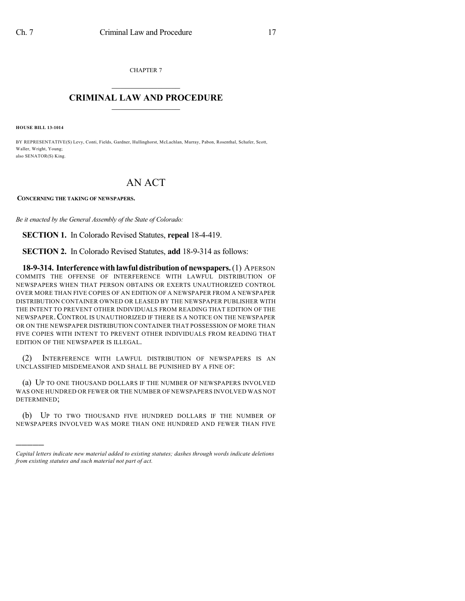CHAPTER 7  $\mathcal{L}_\text{max}$  . The set of the set of the set of the set of the set of the set of the set of the set of the set of the set of the set of the set of the set of the set of the set of the set of the set of the set of the set

## **CRIMINAL LAW AND PROCEDURE**  $\frac{1}{2}$  ,  $\frac{1}{2}$  ,  $\frac{1}{2}$  ,  $\frac{1}{2}$  ,  $\frac{1}{2}$  ,  $\frac{1}{2}$  ,  $\frac{1}{2}$

**HOUSE BILL 13-1014**

)))))

BY REPRESENTATIVE(S) Levy, Conti, Fields, Gardner, Hullinghorst, McLachlan, Murray, Pabon, Rosenthal, Schafer, Scott, Waller, Wright, Young; also SENATOR(S) King.

## AN ACT

## **CONCERNING THE TAKING OF NEWSPAPERS.**

*Be it enacted by the General Assembly of the State of Colorado:*

**SECTION 1.** In Colorado Revised Statutes, **repeal** 18-4-419.

**SECTION 2.** In Colorado Revised Statutes, **add** 18-9-314 as follows:

**18-9-314. Interferencewith lawful distribution of newspapers.**(1) APERSON COMMITS THE OFFENSE OF INTERFERENCE WITH LAWFUL DISTRIBUTION OF NEWSPAPERS WHEN THAT PERSON OBTAINS OR EXERTS UNAUTHORIZED CONTROL OVER MORE THAN FIVE COPIES OF AN EDITION OF A NEWSPAPER FROM A NEWSPAPER DISTRIBUTION CONTAINER OWNED OR LEASED BY THE NEWSPAPER PUBLISHER WITH THE INTENT TO PREVENT OTHER INDIVIDUALS FROM READING THAT EDITION OF THE NEWSPAPER.CONTROL IS UNAUTHORIZED IF THERE IS A NOTICE ON THE NEWSPAPER OR ON THE NEWSPAPER DISTRIBUTION CONTAINER THAT POSSESSION OF MORE THAN FIVE COPIES WITH INTENT TO PREVENT OTHER INDIVIDUALS FROM READING THAT EDITION OF THE NEWSPAPER IS ILLEGAL.

(2) INTERFERENCE WITH LAWFUL DISTRIBUTION OF NEWSPAPERS IS AN UNCLASSIFIED MISDEMEANOR AND SHALL BE PUNISHED BY A FINE OF:

(a) UP TO ONE THOUSAND DOLLARS IF THE NUMBER OF NEWSPAPERS INVOLVED WAS ONE HUNDRED OR FEWER OR THE NUMBER OF NEWSPAPERS INVOLVED WAS NOT DETERMINED;

(b) UP TO TWO THOUSAND FIVE HUNDRED DOLLARS IF THE NUMBER OF NEWSPAPERS INVOLVED WAS MORE THAN ONE HUNDRED AND FEWER THAN FIVE

*Capital letters indicate new material added to existing statutes; dashes through words indicate deletions from existing statutes and such material not part of act.*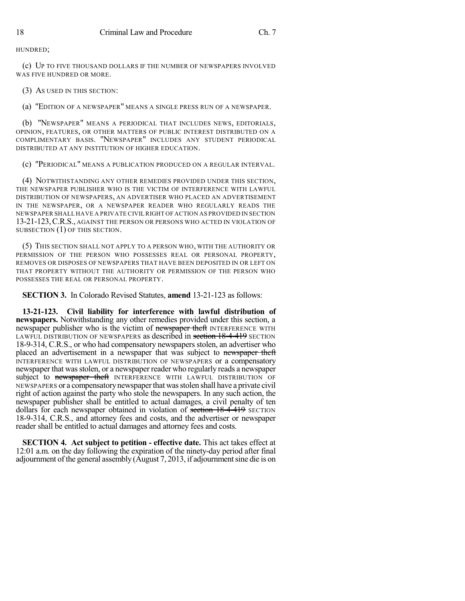HUNDRED;

(c) UP TO FIVE THOUSAND DOLLARS IF THE NUMBER OF NEWSPAPERS INVOLVED WAS FIVE HUNDRED OR MORE.

(3) AS USED IN THIS SECTION:

(a) "EDITION OF A NEWSPAPER" MEANS A SINGLE PRESS RUN OF A NEWSPAPER.

(b) "NEWSPAPER" MEANS A PERIODICAL THAT INCLUDES NEWS, EDITORIALS, OPINION, FEATURES, OR OTHER MATTERS OF PUBLIC INTEREST DISTRIBUTED ON A COMPLIMENTARY BASIS. "NEWSPAPER" INCLUDES ANY STUDENT PERIODICAL DISTRIBUTED AT ANY INSTITUTION OF HIGHER EDUCATION.

(c) "PERIODICAL" MEANS A PUBLICATION PRODUCED ON A REGULAR INTERVAL.

(4) NOTWITHSTANDING ANY OTHER REMEDIES PROVIDED UNDER THIS SECTION, THE NEWSPAPER PUBLISHER WHO IS THE VICTIM OF INTERFERENCE WITH LAWFUL DISTRIBUTION OF NEWSPAPERS, AN ADVERTISER WHO PLACED AN ADVERTISEMENT IN THE NEWSPAPER, OR A NEWSPAPER READER WHO REGULARLY READS THE NEWSPAPER SHALL HAVE A PRIVATE CIVIL RIGHT OF ACTION AS PROVIDED IN SECTION 13-21-123,C.R.S., AGAINST THE PERSON OR PERSONS WHO ACTED IN VIOLATION OF SUBSECTION (1) OF THIS SECTION.

(5) THIS SECTION SHALL NOT APPLY TO A PERSON WHO, WITH THE AUTHORITY OR PERMISSION OF THE PERSON WHO POSSESSES REAL OR PERSONAL PROPERTY, REMOVES OR DISPOSES OF NEWSPAPERS THAT HAVE BEEN DEPOSITED IN OR LEFT ON THAT PROPERTY WITHOUT THE AUTHORITY OR PERMISSION OF THE PERSON WHO POSSESSES THE REAL OR PERSONAL PROPERTY.

**SECTION 3.** In Colorado Revised Statutes, **amend** 13-21-123 as follows:

**13-21-123. Civil liability for interference with lawful distribution of newspapers.** Notwithstanding any other remedies provided under this section, a newspaper publisher who is the victim of newspaper theft INTERFERENCE WITH LAWFUL DISTRIBUTION OF NEWSPAPERS as described in section 18-4-419 SECTION 18-9-314, C.R.S., or who had compensatory newspapers stolen, an advertiser who placed an advertisement in a newspaper that was subject to newspaper theft INTERFERENCE WITH LAWFUL DISTRIBUTION OF NEWSPAPERS or a compensatory newspaper that wasstolen, or a newspaper reader who regularly reads a newspaper subject to newspaper theft INTERFERENCE WITH LAWFUL DISTRIBUTION OF NEWSPAPERS or a compensatorynewspaperthat wasstolen shall have a private civil right of action against the party who stole the newspapers. In any such action, the newspaper publisher shall be entitled to actual damages, a civil penalty of ten dollars for each newspaper obtained in violation of section  $18-4-419$  SECTION 18-9-314, C.R.S., and attorney fees and costs, and the advertiser or newspaper reader shall be entitled to actual damages and attorney fees and costs.

**SECTION 4. Act subject to petition - effective date.** This act takes effect at 12:01 a.m. on the day following the expiration of the ninety-day period after final adjournment of the general assembly  $(August 7, 2013, if adjourment sine die is on$